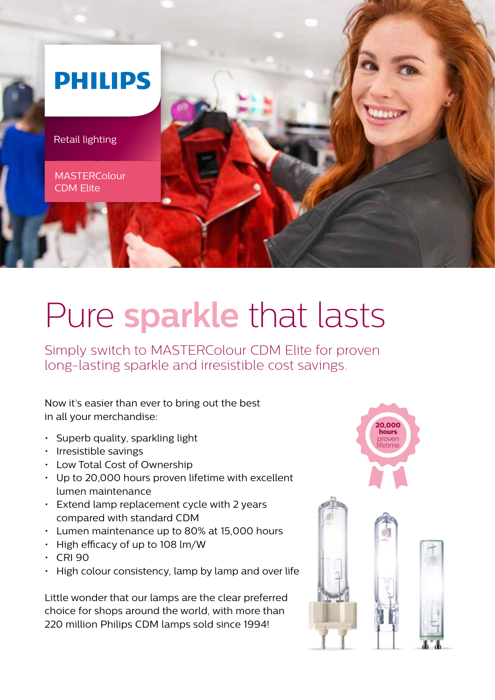

# Pure **sparkle** that lasts

Simply switch to MASTERColour CDM Elite for proven long-lasting sparkle and irresistible cost savings.

Now it's easier than ever to bring out the best in all your merchandise:

- Superb quality, sparkling light
- Irresistible savings
- Low Total Cost of Ownership
- Up to 20,000 hours proven lifetime with excellent lumen maintenance
- Extend lamp replacement cycle with 2 years compared with standard CDM
- Lumen maintenance up to 80% at 15,000 hours
- High efficacy of up to 108 lm/W
- CRI 90
- High colour consistency, lamp by lamp and over life

Little wonder that our lamps are the clear preferred choice for shops around the world, with more than 220 million Philips CDM lamps sold since 1994!

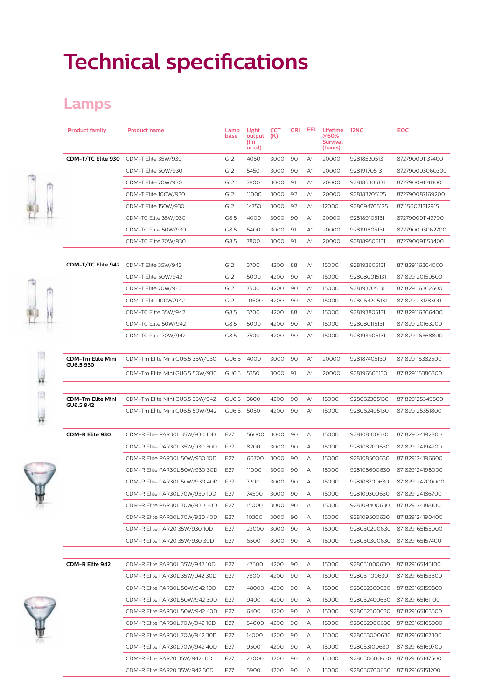## **Technical specifications**

#### **Lamps**

| <b>Product family</b>                 | <b>Product name</b>                    | Lamp<br>base    | Light<br>output<br>(lm<br>or cd) | <b>CCT</b><br>(K) | <b>CRI</b> | EEL            | Lifetime<br>@50%<br><b>Survival</b><br>(hours) | <b>12NC</b>                  | <b>EOC</b>      |
|---------------------------------------|----------------------------------------|-----------------|----------------------------------|-------------------|------------|----------------|------------------------------------------------|------------------------------|-----------------|
| CDM-T/TC Elite 930                    | CDM-T Elite 35W/930                    | G12             | 4050                             | 3000              | 90         | $\mathsf{A}^*$ | 20000                                          | 928185205131                 | 872790091137400 |
|                                       | CDM-T Elite 50W/930                    | G12             | 5450                             | 3000              | 90         | $\mathsf{A}^*$ | 20000                                          | 928191705131                 | 872790093060300 |
|                                       | CDM-T Elite 70W/930                    | G12             | 7800                             | 3000              | 91         | $\mathsf{A}^*$ | 20000                                          | 928185305131                 | 872790091141100 |
|                                       | CDM-T Elite 100W/930                   | G12             | 11000                            | 3000              | 92         | $\mathsf{A}^*$ | 20000                                          | 928183205125                 | 872790087169200 |
|                                       | CDM-T Elite 150W/930                   | G12             | 14750                            | 3000              | 92         | $\mathsf{A}^*$ | 12000                                          | 928094705125                 | 871150021312915 |
|                                       | CDM-TC Elite 35W/930                   | G8.5            | 4000                             | 3000              | 90         | $\mathsf{A}^*$ | 20000                                          | 928189105131                 | 872790091149700 |
|                                       | CDM-TC Elite 50W/930                   | G8.5            | 5400                             | 3000              | 91         | A+             | 20000                                          | 928191805131                 | 872790093062700 |
|                                       | CDM-TC Elite 70W/930                   | G8.5            | 7800                             | 3000              | 91         | $\mathsf{A}^*$ | 20000                                          | 928189505131                 | 872790091153400 |
|                                       | CDM-T/TC Elite 942 CDM-T Elite 35W/942 | G12             | 3700                             | 4200              | 88         | $A^*$          | 15000                                          | 928193605131                 | 871829116364000 |
|                                       | CDM-T Elite 50W/942                    | G12             | 5000                             | 4200              | 90         | $\mathsf{A}^*$ | 15000                                          | 928080015131                 | 871829120159500 |
|                                       | CDM-T Elite 70W/942                    | G12             | 7500                             | 4200              | 90         | $\mathsf{A}^*$ | 15000                                          | 928193705131                 | 871829116362600 |
|                                       | CDM-T Elite 100W/942                   | G12             | 10500                            | 4200              | 90         | $\mathsf{A}^*$ | 15000                                          | 928064205131                 | 871829123178300 |
|                                       |                                        | G8.5            | 3700                             | 4200              | 88         | $\mathsf{A}^*$ | 15000                                          | 928193805131                 |                 |
|                                       | CDM-TC Elite 35W/942                   |                 |                                  |                   |            |                |                                                |                              | 871829116366400 |
|                                       | CDM-TC Elite 50W/942                   | G8.5            | 5000                             | 4200              | 90         | $\mathsf{A}^*$ | 15000                                          | 928080115131                 | 871829120163200 |
|                                       | CDM-TC Elite 70W/942                   | G8.5            | 7500                             | 4200              | 90         | $\mathsf{A}^*$ | 15000                                          | 928193905131                 | 871829116368800 |
| <b>CDM-Tm Elite Mini</b><br>GU6.5 930 | CDM-Tm Elite Mini GU6.5 35W/930        | GU6.5           | 4000                             | 3000              | 90         | $\mathsf{A}^*$ | 20000                                          | 928187405130                 | 871829115382500 |
|                                       | CDM-Tm Elite Mini GU6.5 50W/930        | GU6.5           | 5350                             | 3000              | 91         | $\mathsf{A}^*$ | 20000                                          | 928196505130                 | 871829115386300 |
|                                       |                                        |                 |                                  |                   |            |                |                                                |                              |                 |
| <b>CDM-Tm Elite Mini</b><br>GU6.5942  | CDM-Tm Elite Mini GU6.5 35W/942        | GU6.5           | 3800                             | 4200              | 90         | $\mathsf{A}^*$ | 15000                                          | 928062305130                 | 871829125349500 |
|                                       | CDM-Tm Elite Mini GU6.5 50W/942        | GU6.5           | 5050                             | 4200              | 90         | $\mathsf{A}^*$ | 15000                                          | 928062405130                 | 871829125351800 |
| CDM-R Elite 930                       | CDM-R Elite PAR30L 35W/930 10D         | E27             | 56000                            | 3000              | 90         | А              | 15000                                          | 928108100630                 | 871829124192800 |
|                                       | CDM-R Elite PAR30L 35W/930 30D         | E27             | 8200                             | 3000              | 90         | А              | 15000                                          | 928108200630                 | 871829124194200 |
|                                       | CDM-R Elite PAR30L 50W/930 10D         | E27             | 60700                            | 3000              | 90         | А              | 15000                                          | 928108500630                 | 871829124196600 |
|                                       | CDM-R Elite PAR30L 50W/930 30D         | E27             | 11000                            | 3000              | 90         | А              | 15000                                          | 928108600630                 | 871829124198000 |
|                                       | CDM-R Elite PAR30L 50W/930 40D         | E27             | 7200                             | 3000              | 90         | А              | 15000                                          | 928108700630                 | 871829124200000 |
|                                       | CDM-R Elite PAR30L 70W/930 10D         | E27             | 74500                            | 3000              | 90         | А              | 15000                                          | 928109300630                 | 871829124186700 |
|                                       | CDM-R Elite PAR30L 70W/930 30D         | E27             | 15000                            | 3000              | 90         | А              | 15000                                          | 928109400630                 | 871829124188100 |
|                                       | CDM-R Elite PAR30L 70W/930 40D         | E27             | 10300                            | 3000              | 90         | А              | 15000                                          | 928109500630                 | 871829124190400 |
|                                       | CDM-R Elite PAR20 35W/930 10D          | E27             | 23000                            | 3000              | 90         | А              | 15000                                          | 928050200630                 | 871829165155000 |
|                                       | CDM-R Elite PAR20 35W/930 30D          | E <sub>27</sub> | 6500                             | 3000              | 90         | А              | 15000                                          | 928050300630                 | 871829165157400 |
| CDM-R Elite 942                       | CDM-R Elite PAR30L 35W/942 10D         | E27             | 47500                            | 4200              | 90         | А              | 15000                                          | 928051000630                 | 871829165145100 |
|                                       | CDM-R Elite PAR30L 35W/942 30D         | E27             | 7800                             | 4200              | 90         | А              | 15000                                          | 928051100630                 | 871829165153600 |
|                                       | CDM-R Elite PAR30L 50W/942 10D         | E27             | 48000                            | 4200              | 90         | А              | 15000                                          | 928052300630                 | 871829165159800 |
|                                       | CDM-R Elite PAR30L 50W/942 30D         | E27             | 9400                             | 4200              | 90         | А              | 15000                                          | 928052400630                 | 871829165161100 |
|                                       |                                        |                 |                                  |                   |            |                |                                                |                              |                 |
|                                       | CDM-R Elite PAR30L 50W/942 40D         | E27             | 6400                             | 4200              | 90         | А              | 15000                                          | 928052500630                 | 871829165163500 |
|                                       | CDM-R Elite PAR30L 70W/942 10D         | E27             | 54000                            | 4200              | 90         | А              | 15000                                          | 928052900630                 | 871829165165900 |
|                                       | CDM-R Elite PAR30L 70W/942 30D         | E27<br>E27      | 14000<br>9500                    | 4200<br>4200      | 90<br>90   | А<br>А         | 15000<br>15000                                 | 928053000630                 | 871829165167300 |
|                                       | CDM-R Elite PAR30L 70W/942 40D         |                 |                                  |                   |            |                |                                                | 928053100630                 | 871829165169700 |
|                                       | CDM-R Elite PAR20 35W/942 10D          | E27             | 23000                            | 4200              | 90         | А              | 15000                                          | 928050600630                 | 871829165147500 |
|                                       | CDM-R Elite PAR20 35W/942 30D          | E <sub>27</sub> | 5900                             | 4200              | 90         | А              | 15000                                          | 928050700630 871829165151200 |                 |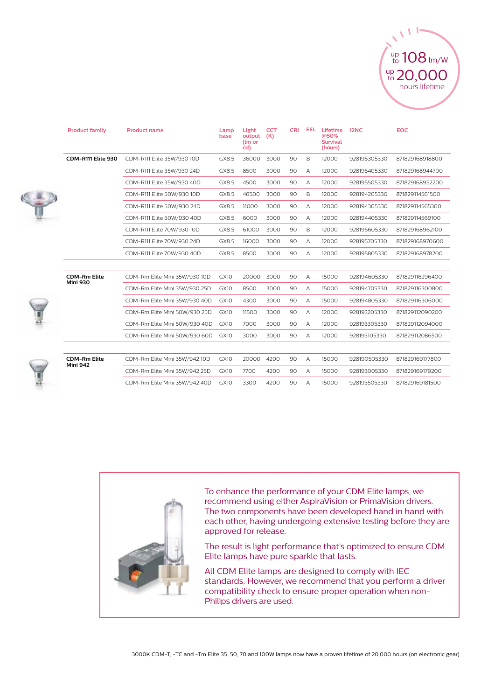

| <b>Product family</b>                  | <b>Product name</b>           | Lamp<br>base | Light<br>output<br>(Im or<br>cd) | <b>CCT</b><br>(K) | <b>CRI</b> | <b>EEL</b> | Lifetime<br>@50%<br><b>Survival</b><br>(hours) | <b>12NC</b>  | <b>EOC</b>      |
|----------------------------------------|-------------------------------|--------------|----------------------------------|-------------------|------------|------------|------------------------------------------------|--------------|-----------------|
| CDM-R111 Elite 930                     | CDM-R111 Elite 35W/930 10D    | GX8.5        | 36000                            | 3000              | 90         | B          | 12000                                          | 928195305330 | 871829168918800 |
|                                        | CDM-R111 Elite 35W/930 24D    | GX8.5        | 8500                             | 3000              | 90         | A          | 12000                                          | 928195405330 | 871829168944700 |
|                                        | CDM-R111 Elite 35W/930 40D    | GX8.5        | 4500                             | 3000              | 90         | A          | 12000                                          | 928195505330 | 871829168952200 |
|                                        | CDM-R111 Elite 50W/930 10D    | GX8.5        | 46500                            | 3000              | 90         | B          | 12000                                          | 928194205330 | 871829114561500 |
|                                        | CDM-R111 Elite 50W/930 24D    | GX8.5        | 11000                            | 3000              | 90         | A          | 12000                                          | 928194305330 | 871829114565300 |
|                                        | CDM-R111 Elite 50W/930 40D    | GX8.5        | 6000                             | 3000              | 90         | A          | 12000                                          | 928194405330 | 871829114569100 |
|                                        | CDM-R111 Elite 70W/930 10D    | GX8.5        | 61000                            | 3000              | 90         | B          | 12000                                          | 928195605330 | 871829168962100 |
|                                        | CDM-R111 Elite 70W/930 24D    | GX8.5        | 16000                            | 3000              | 90         | A          | 12000                                          | 928195705330 | 871829168970600 |
|                                        | CDM-R111 Elite 70W/930 40D    | GX8.5        | 8500                             | 3000              | 90         | A          | 12000                                          | 928195805330 | 871829168978200 |
|                                        |                               |              |                                  |                   |            |            |                                                |              |                 |
| <b>CDM-Rm Elite</b><br><b>Mini 930</b> | CDM-Rm Elite Mini 35W/930 10D | GX10         | 20000                            | 3000              | 90         | A          | 15000                                          | 928194605330 | 871829116296400 |
|                                        | CDM-Rm Elite Mini 35W/930 25D | GX10         | 8500                             | 3000              | 90         | A          | 15000                                          | 928194705330 | 871829116300800 |
|                                        | CDM-Rm Elite Mini 35W/930 40D | GX10         | 4300                             | 3000              | 90         | A          | 15000                                          | 928194805330 | 871829116306000 |
|                                        | CDM-Rm Elite Mini 50W/930 25D | GX10         | 11500                            | 3000              | 90         | A          | 12000                                          | 928193205330 | 871829112090200 |
|                                        | CDM-Rm Elite Mini 50W/930 40D | GX10         | 7000                             | 3000              | 90         | A          | 12000                                          | 928193305330 | 871829112094000 |
|                                        | CDM-Rm Elite Mini 50W/930 60D | GX10         | 3000                             | 3000              | 90         | A          | 12000                                          | 928193105330 | 871829112086500 |
| <b>CDM-Rm Elite</b><br>Mini 942        | CDM-Rm Elite Mini 35W/942 10D | GX10         | 20000                            | 4200              | 90         | A          | 15000                                          | 928190505330 | 871829169177800 |
|                                        | CDM-Rm Elite Mini 35W/942 25D | GX10         | 7700                             | 4200              | 90         | A          | 15000                                          | 928193005330 | 871829169179200 |
|                                        | CDM-Rm Elite Mini 35W/942 40D | GX10         | 3300                             | 4200              | 90         | A          | 15000                                          | 928193505330 | 871829169181500 |



To enhance the performance of your CDM Elite lamps, we recommend using either AspiraVision or PrimaVision drivers. The two components have been developed hand in hand with each other, having undergoing extensive testing before they are approved for release.

The result is light performance that's optimized to ensure CDM Elite lamps have pure sparkle that lasts.

All CDM Elite lamps are designed to comply with IEC standards. However, we recommend that you perform a driver compatibility check to ensure proper operation when non-Philips drivers are used.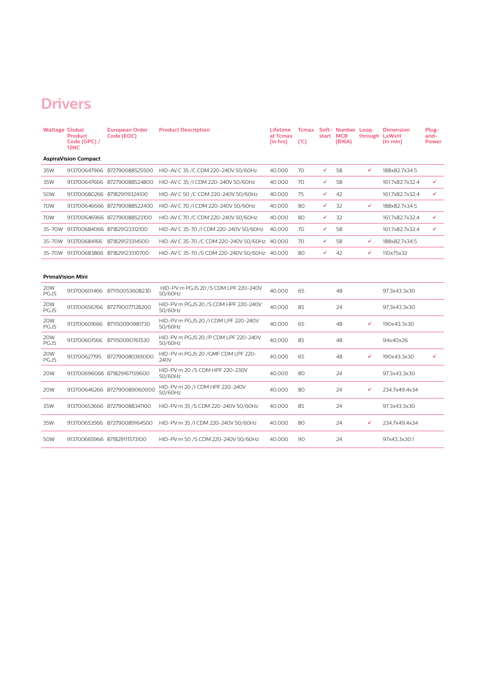### **Drivers**

| <b>Wattage Global</b>       | <b>Product</b><br>Code (GPC) /<br>12NC | <b>European Order</b><br>Code (EOC) | <b>Product Description</b>                      | Lifetime<br>at Tcmax<br>(in hrs) | $(^{\circ}C)$ | start MCB | <b>Tcmax Soft- Number Loop</b><br>(B16A) | through LxWxH | <b>Dimension</b><br>(in mm) | Plug-<br>and-<br><b>Power</b> |
|-----------------------------|----------------------------------------|-------------------------------------|-------------------------------------------------|----------------------------------|---------------|-----------|------------------------------------------|---------------|-----------------------------|-------------------------------|
| <b>AspiraVision Compact</b> |                                        |                                     |                                                 |                                  |               |           |                                          |               |                             |                               |
| 35W                         |                                        | 913700647966 872790088525500        | HID-AV C 35 /C CDM 220-240V 50/60Hz             | 40.000                           | 70            | ✓         | 58                                       | ✓             | 188x82.7x34.5               |                               |
| 35W                         |                                        | 913700647666 872790088524800        | HID-AV C 35 /I CDM 220-240V 50/60Hz             | 40.000                           | 70            | ✓         | 58                                       |               | 161,7x82,7x32,4             | $\checkmark$                  |
| 50W                         |                                        | 913700680266 871829119324100        | HID-AV C 50 /C CDM 220-240V 50/60Hz             | 40,000                           | 75            | ✓         | 42                                       |               | 161,7x82,7x32,4             | $\checkmark$                  |
| 70W                         |                                        | 913700646666 872790088522400        | HID-AV C 70 /I CDM 220-240V 50/60Hz             | 40,000                           | 80            | ✓         | 32                                       | ✓             | 188x82,7x34,5               |                               |
| 70W                         |                                        | 913700646966 872790088523100        | HID-AV C 70 /C CDM 220-240V 50/60Hz             | 40,000                           | 80            | ✓         | 32                                       |               | 161,7x82,7x32,4             | $\checkmark$                  |
|                             |                                        | 35-70W 913700684066 871829123312100 | HID-AV C 35-70 /I CDM 220-240V 50/60Hz          | 40.000                           | 70            | ✓         | 58                                       |               | 161,7x82,7x32,4             | ✓                             |
| 35-70W                      |                                        | 913700684166 871829123314500        | HID-AV C 35-70 /C CDM 220-240V 50/60Hz 40,000   |                                  | 70            | ✓         | 58                                       | $\checkmark$  | 188x82,7x34,5               |                               |
|                             |                                        | 35-70W 913700683866 871829123310700 | HID-AV C 35-70 /S CDM 220-240V 50/60Hz 40,000   |                                  | 80            | ✓         | 42                                       | $\checkmark$  | 110x75x32                   |                               |
|                             | <b>PrimaVision Mini</b>                |                                     |                                                 |                                  |               |           |                                          |               |                             |                               |
| 20W<br>PGJ5                 |                                        | 913700601466 871150053608230        | HID-PV m PGJ5 20 /S CDM LPF 220-240V<br>50/60Hz | 40.000                           | 65            |           | 48                                       |               | 97.3x43.3x30                |                               |
| 20W<br>PGJ5                 |                                        | 913700656766 872790077128200        | HID-PV m PGJ5 20 /S CDM HPF 220-240V<br>50/60Hz | 40.000                           | 85            |           | 24                                       |               | 97,3x43,3x30                |                               |
| 20W<br>PGJ5                 |                                        | 913700601666 871150090981730        | HID-PV m PGJ5 20 /I CDM LPF 220-240V<br>50/60Hz | 40.000                           | 65            |           | 48                                       | $\checkmark$  | 190x43,3x30                 |                               |
| 20W<br>PGJ5                 |                                        | 913700601566 871150090761530        | HID-PV m PGJ5 20 /P CDM LPF 220-240V<br>50/60Hz | 40,000                           | 85            |           | 48                                       |               | 94x40x26                    |                               |
| 20W<br>PGJ5                 |                                        | 913700627195 872790080369300        | HID-PV m PGJ5 20 /GMF CDM LPF 220-<br>240V      | 40,000                           | 65            |           | 48                                       | ✓             | 190x43,3x30                 | ✓                             |
| 20W                         |                                        | 913700696066 871829167159600        | HID-PV m 20 /S CDM HPF 220-230V<br>50/60Hz      | 40.000                           | 80            |           | 24                                       |               | 97,3x43,3x30                |                               |
| 20W                         |                                        | 913700646266 872790089060000        | HID-PV m 20 /I CDM HPF 220-240V<br>50/60Hz      | 40,000                           | 80            |           | 24                                       | ✓             | 234,7x49,4x34               |                               |
| 35W                         |                                        | 913700653666 872790088341100        | HID-PV m 35 /S CDM 220-240V 50/60Hz             | 40,000                           | 85            |           | 24                                       |               | 97,3x43,3x30                |                               |
| 35W                         |                                        | 913700653566 872790089164500        | HID-PV m 35 /I CDM 220-240V 50/60Hz             | 40.000                           | 80            |           | 24                                       | ✓             | 234,7x49,4x34               |                               |
| 50W                         |                                        | 913700665966 871829111573100        | HID-PV m 50 /S CDM 220-240V 50/60Hz             | 40,000                           | 90            |           | 24                                       |               | 97x43,3x30,1                |                               |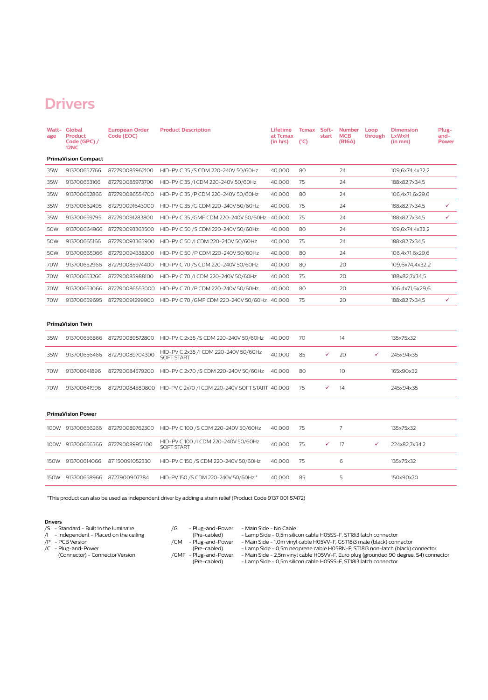#### **Drivers**

| age  | Watt- Global<br><b>Product</b><br>Code (GPC) /<br><b>12NC</b> | <b>European Order</b><br>Code (EOC) | <b>Product Description</b>                                 | Lifetime<br>at Tcmax<br>(in hrs) | Tcmax Soft-<br>$(^{\circ}C)$ | start | <b>Number</b><br><b>MCB</b><br>(B16A) | Loop<br>through | <b>Dimension</b><br>LxWxH<br>(in mm) | Plug-<br>and-<br>Power |
|------|---------------------------------------------------------------|-------------------------------------|------------------------------------------------------------|----------------------------------|------------------------------|-------|---------------------------------------|-----------------|--------------------------------------|------------------------|
|      | <b>PrimaVision Compact</b>                                    |                                     |                                                            |                                  |                              |       |                                       |                 |                                      |                        |
| 35W  | 913700652766                                                  | 872790085962100                     | HID-PV C 35 /S CDM 220-240V 50/60Hz                        | 40.000                           | 80                           |       | 24                                    |                 | 109,6x74,4x32,2                      |                        |
| 35W  | 913700653166                                                  | 872790085973700                     | HID-PV C 35 /I CDM 220-240V 50/60Hz                        | 40,000                           | 75                           |       | 24                                    |                 | 188x82,7x34,5                        |                        |
| 35W  | 913700652866                                                  | 872790086554700                     | HID-PV C 35 /P CDM 220-240V 50/60Hz                        | 40,000                           | 80                           |       | 24                                    |                 | 106,4x71,6x29,6                      |                        |
| 35W  | 913700662495                                                  | 872790091643000                     | HID-PV C 35 /G CDM 220-240V 50/60Hz                        | 40,000                           | 75                           |       | 24                                    |                 | 188x82,7x34,5                        | ✓                      |
| 35W  | 913700659795                                                  | 872790091283800                     | HID-PV C 35 / GMF CDM 220-240V 50/60Hz                     | 40.000                           | 75                           |       | 24                                    |                 | 188x82,7x34,5                        | ✓                      |
| 50W  | 913700664966                                                  | 872790093363500                     | HID-PV C 50 /S CDM 220-240V 50/60Hz                        | 40,000                           | 80                           |       | 24                                    |                 | 109,6x74,4x32,2                      |                        |
| 50W  | 913700665166                                                  | 872790093365900                     | HID-PV C 50 /I CDM 220-240V 50/60Hz                        | 40,000                           | 75                           |       | 24                                    |                 | 188x82,7x34,5                        |                        |
| 50W  | 913700665066                                                  | 872790094338200                     | HID-PV C 50 /P CDM 220-240V 50/60Hz                        | 40,000                           | 80                           |       | 24                                    |                 | 106,4x71,6x29,6                      |                        |
| 70W  | 913700652966                                                  | 872790085974400                     | HID-PV C 70 /S CDM 220-240V 50/60Hz                        | 40,000                           | 80                           |       | 20                                    |                 | 109,6x74,4x32,2                      |                        |
| 70W  | 913700653266                                                  | 872790085988100                     | HID-PV C 70 /I CDM 220-240V 50/60Hz                        | 40.000                           | 75                           |       | 20                                    |                 | 188x82,7x34,5                        |                        |
| 70W  | 913700653066                                                  | 872790086553000                     | HID-PV C 70 /P CDM 220-240V 50/60Hz                        | 40,000                           | 80                           |       | 20                                    |                 | 106,4x71,6x29,6                      |                        |
| 70W  | 913700659695                                                  | 872790091299900                     | HID-PV C 70 / GMF CDM 220-240V 50/60Hz 40,000              |                                  | 75                           |       | 20                                    |                 | 188x82,7x34,5                        | ✓                      |
|      |                                                               |                                     |                                                            |                                  |                              |       |                                       |                 |                                      |                        |
|      | <b>PrimaVision Twin</b>                                       |                                     |                                                            |                                  |                              |       |                                       |                 |                                      |                        |
| 35W  | 913700656866                                                  | 872790089572800                     | HID-PV C 2x35 /S CDM 220-240V 50/60Hz                      | 40,000                           | 70                           |       | 14                                    |                 | 135x75x32                            |                        |
| 35W  | 913700656466                                                  | 872790089704300                     | HID-PV C 2x35 /I CDM 220-240V 50/60Hz<br><b>SOFT START</b> | 40.000                           | 85                           | ✓     | 20                                    | ✓               | 245x94x35                            |                        |
| 70W  | 913700641896                                                  | 872790084579200                     | HID-PV C 2x70 /S CDM 220-240V 50/60Hz                      | 40.000                           | 80                           |       | 10                                    |                 | 165x90x32                            |                        |
| 70W  | 913700641996                                                  | 872790084580800                     | HID-PV C 2x70 /I CDM 220-240V SOFT START 40,000            |                                  | 75                           | ✓     | 14                                    |                 | 245x94x35                            |                        |
|      | <b>PrimaVision Power</b>                                      |                                     |                                                            |                                  |                              |       |                                       |                 |                                      |                        |
|      | 100W 913700656266                                             | 872790089762300                     | HID-PV C 100 /S CDM 220-240V 50/60Hz                       | 40,000                           | 75                           |       | 7                                     |                 | 135x75x32                            |                        |
| 100W | 913700656366                                                  | 872790089951100                     | HID-PV C 100 /I CDM 220-240V 50/60Hz<br><b>SOFT START</b>  | 40.000                           | 75                           | ✓     | 17                                    | ✓               | 224x82,7x34,2                        |                        |
| 150W | 913700614066                                                  | 871150091052330                     | HID-PV C 150 /S CDM 220-240V 50/60Hz                       | 40,000                           | 75                           |       | 6                                     |                 | 135x75x32                            |                        |
|      | 150W 913700658966                                             | 8727900907384                       | HID-PV 150 /S CDM 220-240V 50/60Hz *                       | 40,000                           | 85                           |       | 5                                     |                 | 150x90x70                            |                        |
|      |                                                               |                                     |                                                            |                                  |                              |       |                                       |                 |                                      |                        |

\*This product can also be used as independent driver by adding a strain relief (Product Code 9137 001 57472)

#### **Drivers**

- /S Standard Built in the luminaire
- /I Independent Placed on the ceiling
- /P PCB Version
- /C Plug-and-Power (Connector) - Connector Version
	-
- -
- 
- 
- 
- 
- /G Plug-and-Power Main Side No Cable (Pre-cabled) Lamp Side 0,5m silicon cable H05SS-F, ST18i3 latch connector
- /GM Plug-and-Power Main Side 1,0m vinyl cable H05VV-F, GST18i3 male (black) connector
	- (Pre-cabled) Lamp Side 0,5m neoprene cable H05RN-F, ST18i3 non-latch (black) connector
		-
		-
- /GMF Plug-and-Power Main Side 2,5m vinyl cable H05VV-F, Euro plug (grounded 90 degree, S4) connector (Pre-cabled) Lamp Side 0,5m silicon cable H05SS-F, ST18i3 latch connector
	-